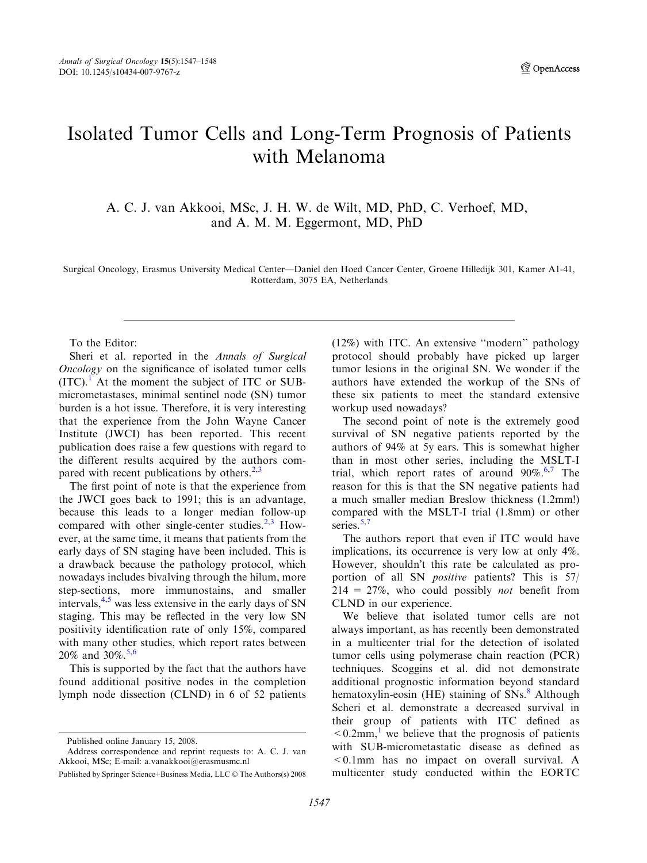*A* OpenAccess

## Isolated Tumor Cells and Long-Term Prognosis of Patients with Melanoma

A. C. J. van Akkooi, MSc, J. H. W. de Wilt, MD, PhD, C. Verhoef, MD, and A. M. M. Eggermont, MD, PhD

Surgical Oncology, Erasmus University Medical Center—Daniel den Hoed Cancer Center, Groene Hilledijk 301, Kamer A1-41, Rotterdam, 3075 EA, Netherlands

To the Editor:

Sheri et al. reported in the Annals of Surgical Oncology on the significance of isolated tumor cells  $(ITC).<sup>1</sup>$  $(ITC).<sup>1</sup>$  $(ITC).<sup>1</sup>$  At the moment the subject of ITC or SUBmicrometastases, minimal sentinel node (SN) tumor burden is a hot issue. Therefore, it is very interesting that the experience from the John Wayne Cancer Institute (JWCI) has been reported. This recent publication does raise a few questions with regard to the different results acquired by the authors compared with recent publications by others. $2,3$ 

The first point of note is that the experience from the JWCI goes back to 1991; this is an advantage, because this leads to a longer median follow-up compared with other single-center studies. $2,3$  However, at the same time, it means that patients from the early days of SN staging have been included. This is a drawback because the pathology protocol, which nowadays includes bivalving through the hilum, more step-sections, more immunostains, and smaller intervals,  $4.5$  was less extensive in the early days of SN staging. This may be reflected in the very low SN positivity identification rate of only 15%, compared with many other studies, which report rates between 20% and 30%. [5,6](#page-1-0)

This is supported by the fact that the authors have found additional positive nodes in the completion lymph node dissection (CLND) in 6 of 52 patients (12%) with ITC. An extensive ''modern'' pathology protocol should probably have picked up larger tumor lesions in the original SN. We wonder if the authors have extended the workup of the SNs of these six patients to meet the standard extensive workup used nowadays?

The second point of note is the extremely good survival of SN negative patients reported by the authors of 94% at 5y ears. This is somewhat higher than in most other series, including the MSLT-I trial, which report rates of around 90%.<sup>[6,7](#page-1-0)</sup> The reason for this is that the SN negative patients had a much smaller median Breslow thickness (1.2mm!) compared with the MSLT-I trial (1.8mm) or other series.<sup>[5,7](#page-1-0)</sup>

The authors report that even if ITC would have implications, its occurrence is very low at only 4%. However, shouldn't this rate be calculated as proportion of all SN positive patients? This is 57/  $214 = 27\%$ , who could possibly *not* benefit from CLND in our experience.

We believe that isolated tumor cells are not always important, as has recently been demonstrated in a multicenter trial for the detection of isolated tumor cells using polymerase chain reaction (PCR) techniques. Scoggins et al. did not demonstrate additional prognostic information beyond standard hematoxylin-eosin (HE) staining of  $SNs$ .<sup>[8](#page-1-0)</sup> Although Scheri et al. demonstrate a decreased survival in their group of patients with ITC defined as  $\leq 0.2$ mm,<sup>[1](#page-1-0)</sup> we believe that the prognosis of patients with SUB-micrometastatic disease as defined as <0.1mm has no impact on overall survival. A multicenter study conducted within the EORTC

Published online January 15, 2008.

Address correspondence and reprint requests to: A. C. J. van Akkooi, MSc; E-mail: a.vanakkooi@erasmusmc.nl

Published by Springer Science+Business Media, LLC © The Authors(s) 2008